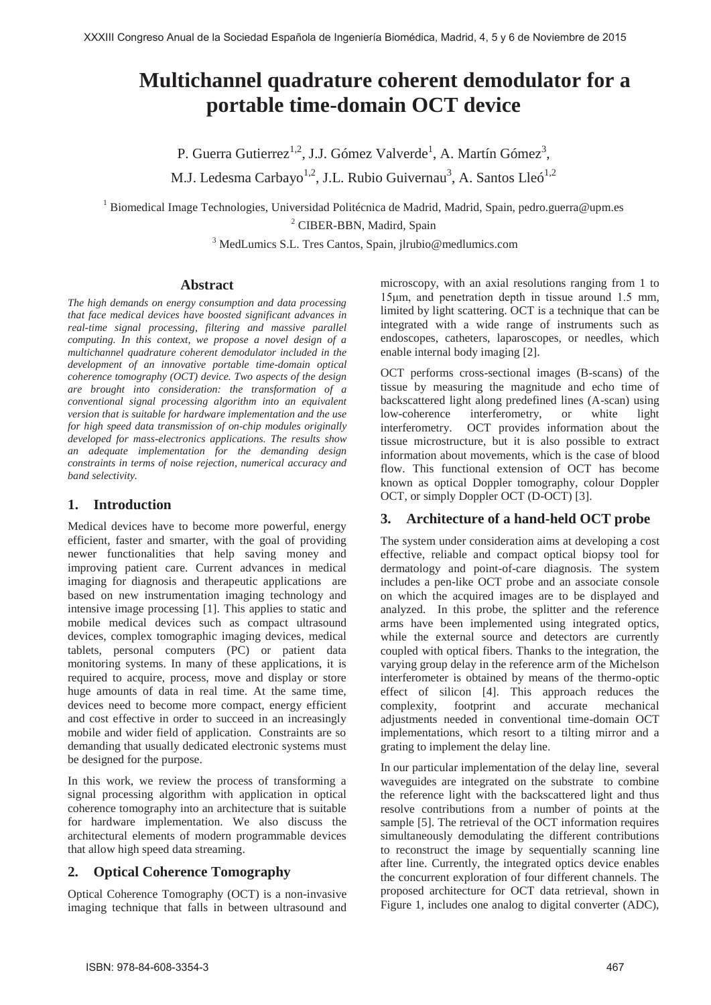# **Multichannel quadrature coherent demodulator for a portable time-domain OCT device**

P. Guerra Gutierrez<sup>1,2</sup>, J.J. Gómez Valverde<sup>1</sup>, A. Martín Gómez<sup>3</sup>, M.J. Ledesma Carbayo<sup>1,2</sup>, J.L. Rubio Guivernau<sup>3</sup>, A. Santos Lleó<sup>1,2</sup>

<sup>1</sup> Biomedical Image Technologies, Universidad Politécnica de Madrid, Madrid, Spain, pedro.guerra@upm.es

<sup>2</sup> CIBER-BBN, Madird, Spain

3 MedLumics S.L. Tres Cantos, Spain, jlrubio@medlumics.com

## **Abstract**

*The high demands on energy consumption and data processing that face medical devices have boosted significant advances in real-time signal processing, filtering and massive parallel computing. In this context, we propose a novel design of a multichannel quadrature coherent demodulator included in the development of an innovative portable time-domain optical coherence tomography (OCT) device. Two aspects of the design are brought into consideration: the transformation of a conventional signal processing algorithm into an equivalent version that is suitable for hardware implementation and the use for high speed data transmission of on-chip modules originally developed for mass-electronics applications. The results show an adequate implementation for the demanding design constraints in terms of noise rejection, numerical accuracy and band selectivity.* 

## **1. Introduction**

Medical devices have to become more powerful, energy efficient, faster and smarter, with the goal of providing newer functionalities that help saving money and improving patient care. Current advances in medical imaging for diagnosis and therapeutic applications are based on new instrumentation imaging technology and intensive image processing [1]. This applies to static and mobile medical devices such as compact ultrasound devices, complex tomographic imaging devices, medical tablets, personal computers (PC) or patient data monitoring systems. In many of these applications, it is required to acquire, process, move and display or store huge amounts of data in real time. At the same time, devices need to become more compact, energy efficient and cost effective in order to succeed in an increasingly mobile and wider field of application. Constraints are so demanding that usually dedicated electronic systems must be designed for the purpose.

In this work, we review the process of transforming a signal processing algorithm with application in optical coherence tomography into an architecture that is suitable for hardware implementation. We also discuss the architectural elements of modern programmable devices that allow high speed data streaming.

## **2. Optical Coherence Tomography**

Optical Coherence Tomography (OCT) is a non-invasive imaging technique that falls in between ultrasound and microscopy, with an axial resolutions ranging from 1 to 15μm, and penetration depth in tissue around 1.5 mm, limited by light scattering. OCT is a technique that can be integrated with a wide range of instruments such as endoscopes, catheters, laparoscopes, or needles, which enable internal body imaging [2].

OCT performs cross-sectional images (B-scans) of the tissue by measuring the magnitude and echo time of backscattered light along predefined lines (A-scan) using low-coherence interferometry, or white light interferometry. OCT provides information about the tissue microstructure, but it is also possible to extract information about movements, which is the case of blood flow. This functional extension of OCT has become known as optical Doppler tomography, colour Doppler OCT, or simply Doppler OCT (D-OCT) [3].

## **3. Architecture of a hand-held OCT probe**

The system under consideration aims at developing a cost effective, reliable and compact optical biopsy tool for dermatology and point-of-care diagnosis. The system includes a pen-like OCT probe and an associate console on which the acquired images are to be displayed and analyzed. In this probe, the splitter and the reference arms have been implemented using integrated optics, while the external source and detectors are currently coupled with optical fibers. Thanks to the integration, the varying group delay in the reference arm of the Michelson interferometer is obtained by means of the thermo-optic effect of silicon [4]. This approach reduces the complexity, footprint and accurate mechanical adjustments needed in conventional time-domain OCT implementations, which resort to a tilting mirror and a grating to implement the delay line.

In our particular implementation of the delay line, several waveguides are integrated on the substrate to combine the reference light with the backscattered light and thus resolve contributions from a number of points at the sample [5]. The retrieval of the OCT information requires simultaneously demodulating the different contributions to reconstruct the image by sequentially scanning line after line. Currently, the integrated optics device enables the concurrent exploration of four different channels. The proposed architecture for OCT data retrieval, shown in Figure 1, includes one analog to digital converter (ADC),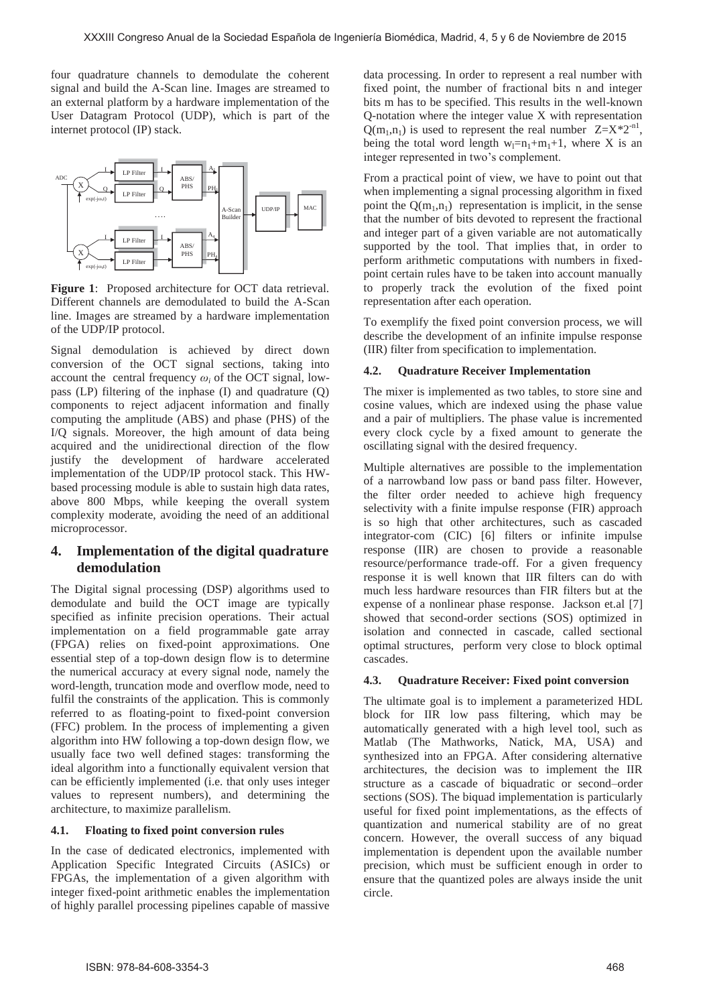four quadrature channels to demodulate the coherent signal and build the A-Scan line. Images are streamed to an external platform by a hardware implementation of the User Datagram Protocol (UDP), which is part of the internet protocol (IP) stack.



**Figure 1**: Proposed architecture for OCT data retrieval. Different channels are demodulated to build the A-Scan line. Images are streamed by a hardware implementation of the UDP/IP protocol.

Signal demodulation is achieved by direct down conversion of the OCT signal sections, taking into account the central frequency  $\omega_i$  of the OCT signal, lowpass (LP) filtering of the inphase (I) and quadrature (Q) components to reject adjacent information and finally computing the amplitude (ABS) and phase (PHS) of the I/Q signals. Moreover, the high amount of data being acquired and the unidirectional direction of the flow justify the development of hardware accelerated implementation of the UDP/IP protocol stack. This HWbased processing module is able to sustain high data rates, above 800 Mbps, while keeping the overall system complexity moderate, avoiding the need of an additional microprocessor.

## **4. Implementation of the digital quadrature demodulation**

The Digital signal processing (DSP) algorithms used to demodulate and build the OCT image are typically specified as infinite precision operations. Their actual implementation on a field programmable gate array (FPGA) relies on fixed-point approximations. One essential step of a top-down design flow is to determine the numerical accuracy at every signal node, namely the word-length, truncation mode and overflow mode, need to fulfil the constraints of the application. This is commonly referred to as floating-point to fixed-point conversion (FFC) problem. In the process of implementing a given algorithm into HW following a top-down design flow, we usually face two well defined stages: transforming the ideal algorithm into a functionally equivalent version that can be efficiently implemented (i.e. that only uses integer values to represent numbers), and determining the architecture, to maximize parallelism.

#### **4.1. Floating to fixed point conversion rules**

In the case of dedicated electronics, implemented with Application Specific Integrated Circuits (ASICs) or FPGAs, the implementation of a given algorithm with integer fixed-point arithmetic enables the implementation of highly parallel processing pipelines capable of massive

data processing. In order to represent a real number with fixed point, the number of fractional bits n and integer bits m has to be specified. This results in the well-known Q-notation where the integer value X with representation  $Q(m_1,n_1)$  is used to represent the real number  $Z=X^*2^{-n}$ , being the total word length  $w_1=n_1+m_1+1$ , where X is an integer represented in two's complement.

From a practical point of view, we have to point out that when implementing a signal processing algorithm in fixed point the  $O(m_1,n_1)$  representation is implicit, in the sense that the number of bits devoted to represent the fractional and integer part of a given variable are not automatically supported by the tool. That implies that, in order to perform arithmetic computations with numbers in fixedpoint certain rules have to be taken into account manually to properly track the evolution of the fixed point representation after each operation.

To exemplify the fixed point conversion process, we will describe the development of an infinite impulse response (IIR) filter from specification to implementation.

#### **4.2. Quadrature Receiver Implementation**

The mixer is implemented as two tables, to store sine and cosine values, which are indexed using the phase value and a pair of multipliers. The phase value is incremented every clock cycle by a fixed amount to generate the oscillating signal with the desired frequency.

Multiple alternatives are possible to the implementation of a narrowband low pass or band pass filter. However, the filter order needed to achieve high frequency selectivity with a finite impulse response (FIR) approach is so high that other architectures, such as cascaded integrator-com (CIC) [6] filters or infinite impulse response (IIR) are chosen to provide a reasonable resource/performance trade-off. For a given frequency response it is well known that IIR filters can do with much less hardware resources than FIR filters but at the expense of a nonlinear phase response. Jackson et.al [7] showed that second-order sections (SOS) optimized in isolation and connected in cascade, called sectional optimal structures, perform very close to block optimal cascades.

#### **4.3. Quadrature Receiver: Fixed point conversion**

The ultimate goal is to implement a parameterized HDL block for IIR low pass filtering, which may be automatically generated with a high level tool, such as Matlab (The Mathworks, Natick, MA, USA) and synthesized into an FPGA. After considering alternative architectures, the decision was to implement the IIR structure as a cascade of biquadratic or second–order sections (SOS). The biquad implementation is particularly useful for fixed point implementations, as the effects of quantization and numerical stability are of no great concern. However, the overall success of any biquad implementation is dependent upon the available number precision, which must be sufficient enough in order to ensure that the quantized poles are always inside the unit circle.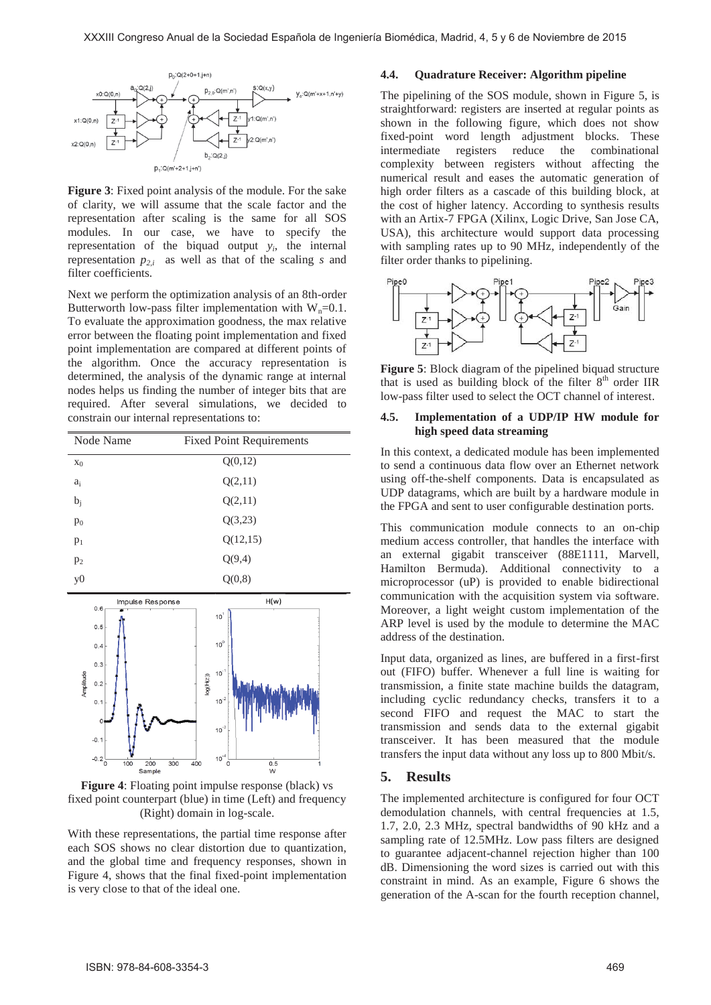

**Figure 3**: Fixed point analysis of the module. For the sake of clarity, we will assume that the scale factor and the representation after scaling is the same for all SOS modules. In our case, we have to specify the representation of the biquad output *yi*, the internal representation  $p_{2,i}$  as well as that of the scaling *s* and filter coefficients.

Next we perform the optimization analysis of an 8th-order Butterworth low-pass filter implementation with  $W_n=0.1$ . To evaluate the approximation goodness, the max relative error between the floating point implementation and fixed point implementation are compared at different points of the algorithm. Once the accuracy representation is determined, the analysis of the dynamic range at internal nodes helps us finding the number of integer bits that are required. After several simulations, we decided to constrain our internal representations to:

| Node Name                                                                                                                                             | <b>Fixed Point Requirements</b>                                                                                               |
|-------------------------------------------------------------------------------------------------------------------------------------------------------|-------------------------------------------------------------------------------------------------------------------------------|
| $x_0$                                                                                                                                                 | Q(0,12)                                                                                                                       |
| $a_i$                                                                                                                                                 | Q(2,11)                                                                                                                       |
| $b_j$                                                                                                                                                 | Q(2,11)                                                                                                                       |
| $p_0$                                                                                                                                                 | Q(3,23)                                                                                                                       |
| $p_1$                                                                                                                                                 | Q(12, 15)                                                                                                                     |
| $p_2$                                                                                                                                                 | Q(9,4)                                                                                                                        |
| y <sub>0</sub>                                                                                                                                        | Q(0,8)                                                                                                                        |
| Impulse Response<br>0.6<br>0.5<br>0.4<br>0.3<br>Amplitude<br>0.2<br>0.1<br>$\mathbf{0}$<br>$-0.1$<br>$-0.2$ $_{0}^{-}$<br>100<br>200<br>300<br>Sample | H(w)<br>10 <sup>1</sup><br>$10^0$<br>$10^{11}$<br>log(H(z))<br>$10^{-2}$<br>$10^{3}$<br>$10^{4}$<br>400<br>0.5<br>0<br>1<br>W |

**Figure 4**: Floating point impulse response (black) vs fixed point counterpart (blue) in time (Left) and frequency (Right) domain in log-scale.

With these representations, the partial time response after each SOS shows no clear distortion due to quantization, and the global time and frequency responses, shown in Figure 4, shows that the final fixed-point implementation is very close to that of the ideal one.

#### **4.4. Quadrature Receiver: Algorithm pipeline**

The pipelining of the SOS module, shown in Figure 5, is straightforward: registers are inserted at regular points as shown in the following figure, which does not show fixed-point word length adjustment blocks. These intermediate registers reduce the combinational complexity between registers without affecting the numerical result and eases the automatic generation of high order filters as a cascade of this building block, at the cost of higher latency. According to synthesis results with an Artix-7 FPGA (Xilinx, Logic Drive, San Jose CA, USA), this architecture would support data processing with sampling rates up to 90 MHz, independently of the filter order thanks to pipelining.



**Figure 5**: Block diagram of the pipelined biquad structure that is used as building block of the filter  $8<sup>th</sup>$  order IIR low-pass filter used to select the OCT channel of interest.

#### **4.5. Implementation of a UDP/IP HW module for high speed data streaming**

In this context, a dedicated module has been implemented to send a continuous data flow over an Ethernet network using off-the-shelf components. Data is encapsulated as UDP datagrams, which are built by a hardware module in the FPGA and sent to user configurable destination ports.

This communication module connects to an on-chip medium access controller, that handles the interface with an external gigabit transceiver (88E1111, Marvell, Hamilton Bermuda). Additional connectivity to a microprocessor (uP) is provided to enable bidirectional communication with the acquisition system via software. Moreover, a light weight custom implementation of the ARP level is used by the module to determine the MAC address of the destination.

Input data, organized as lines, are buffered in a first-first out (FIFO) buffer. Whenever a full line is waiting for transmission, a finite state machine builds the datagram, including cyclic redundancy checks, transfers it to a second FIFO and request the MAC to start the transmission and sends data to the external gigabit transceiver. It has been measured that the module transfers the input data without any loss up to 800 Mbit/s.

#### **5. Results**

The implemented architecture is configured for four OCT demodulation channels, with central frequencies at 1.5, 1.7, 2.0, 2.3 MHz, spectral bandwidths of 90 kHz and a sampling rate of 12.5MHz. Low pass filters are designed to guarantee adjacent-channel rejection higher than 100 dB. Dimensioning the word sizes is carried out with this constraint in mind. As an example, Figure 6 shows the generation of the A-scan for the fourth reception channel,